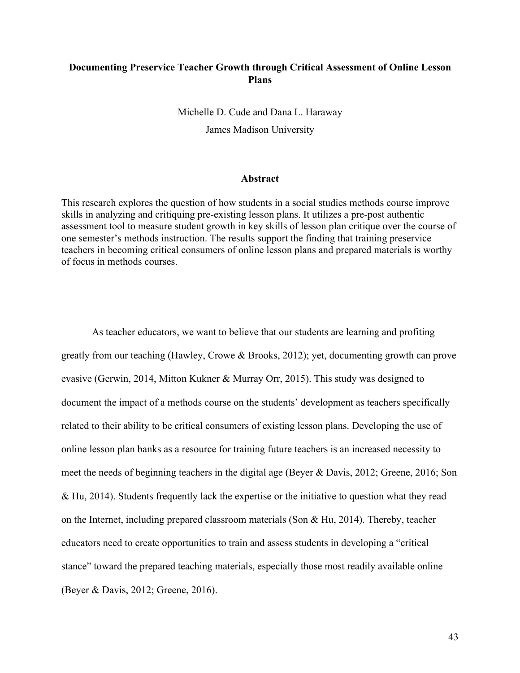## **Documenting Preservice Teacher Growth through Critical Assessment of Online Lesson Plans**

Michelle D. Cude and Dana L. Haraway James Madison University

#### **Abstract**

This research explores the question of how students in a social studies methods course improve skills in analyzing and critiquing pre-existing lesson plans. It utilizes a pre-post authentic assessment tool to measure student growth in key skills of lesson plan critique over the course of one semester's methods instruction. The results support the finding that training preservice teachers in becoming critical consumers of online lesson plans and prepared materials is worthy of focus in methods courses.

As teacher educators, we want to believe that our students are learning and profiting greatly from our teaching (Hawley, Crowe & Brooks, 2012); yet, documenting growth can prove evasive (Gerwin, 2014, Mitton Kukner & Murray Orr, 2015). This study was designed to document the impact of a methods course on the students' development as teachers specifically related to their ability to be critical consumers of existing lesson plans. Developing the use of online lesson plan banks as a resource for training future teachers is an increased necessity to meet the needs of beginning teachers in the digital age (Beyer & Davis, 2012; Greene, 2016; Son & Hu, 2014). Students frequently lack the expertise or the initiative to question what they read on the Internet, including prepared classroom materials (Son & Hu, 2014). Thereby, teacher educators need to create opportunities to train and assess students in developing a "critical stance" toward the prepared teaching materials, especially those most readily available online (Beyer & Davis, 2012; Greene, 2016).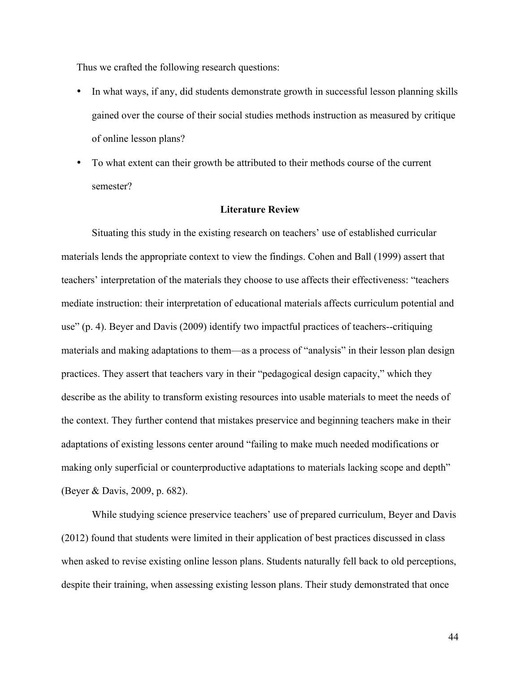Thus we crafted the following research questions:

- In what ways, if any, did students demonstrate growth in successful lesson planning skills gained over the course of their social studies methods instruction as measured by critique of online lesson plans?
- To what extent can their growth be attributed to their methods course of the current semester?

### **Literature Review**

Situating this study in the existing research on teachers' use of established curricular materials lends the appropriate context to view the findings. Cohen and Ball (1999) assert that teachers' interpretation of the materials they choose to use affects their effectiveness: "teachers mediate instruction: their interpretation of educational materials affects curriculum potential and use" (p. 4). Beyer and Davis (2009) identify two impactful practices of teachers--critiquing materials and making adaptations to them—as a process of "analysis" in their lesson plan design practices. They assert that teachers vary in their "pedagogical design capacity," which they describe as the ability to transform existing resources into usable materials to meet the needs of the context. They further contend that mistakes preservice and beginning teachers make in their adaptations of existing lessons center around "failing to make much needed modifications or making only superficial or counterproductive adaptations to materials lacking scope and depth" (Beyer & Davis, 2009, p. 682).

While studying science preservice teachers' use of prepared curriculum, Beyer and Davis (2012) found that students were limited in their application of best practices discussed in class when asked to revise existing online lesson plans. Students naturally fell back to old perceptions, despite their training, when assessing existing lesson plans. Their study demonstrated that once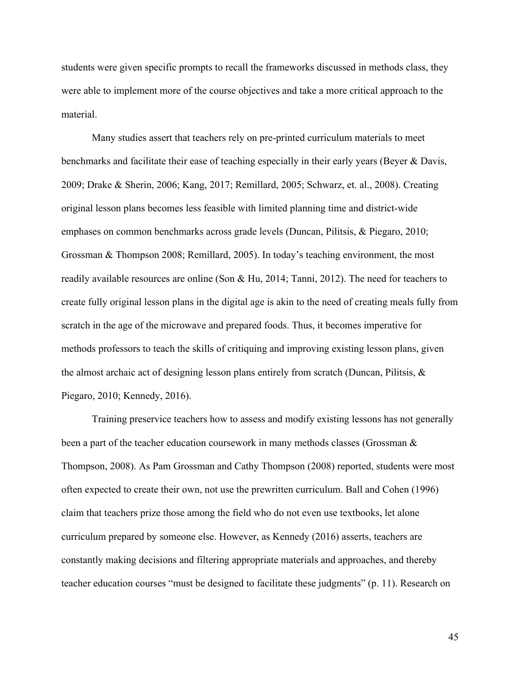students were given specific prompts to recall the frameworks discussed in methods class, they were able to implement more of the course objectives and take a more critical approach to the material.

Many studies assert that teachers rely on pre-printed curriculum materials to meet benchmarks and facilitate their ease of teaching especially in their early years (Beyer & Davis, 2009; Drake & Sherin, 2006; Kang, 2017; Remillard, 2005; Schwarz, et. al., 2008). Creating original lesson plans becomes less feasible with limited planning time and district-wide emphases on common benchmarks across grade levels (Duncan, Pilitsis, & Piegaro, 2010; Grossman & Thompson 2008; Remillard, 2005). In today's teaching environment, the most readily available resources are online (Son & Hu, 2014; Tanni, 2012). The need for teachers to create fully original lesson plans in the digital age is akin to the need of creating meals fully from scratch in the age of the microwave and prepared foods. Thus, it becomes imperative for methods professors to teach the skills of critiquing and improving existing lesson plans, given the almost archaic act of designing lesson plans entirely from scratch (Duncan, Pilitsis, & Piegaro, 2010; Kennedy, 2016).

Training preservice teachers how to assess and modify existing lessons has not generally been a part of the teacher education coursework in many methods classes (Grossman & Thompson, 2008). As Pam Grossman and Cathy Thompson (2008) reported, students were most often expected to create their own, not use the prewritten curriculum. Ball and Cohen (1996) claim that teachers prize those among the field who do not even use textbooks, let alone curriculum prepared by someone else. However, as Kennedy (2016) asserts, teachers are constantly making decisions and filtering appropriate materials and approaches, and thereby teacher education courses "must be designed to facilitate these judgments" (p. 11). Research on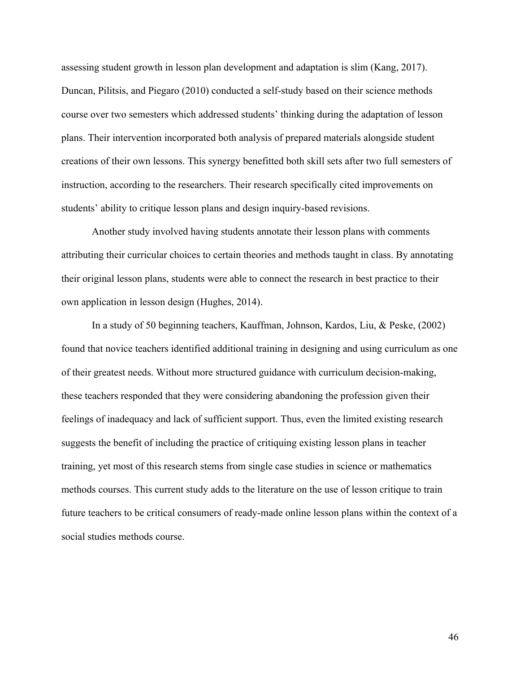assessing student growth in lesson plan development and adaptation is slim (Kang, 2017). Duncan, Pilitsis, and Piegaro (2010) conducted a self-study based on their science methods course over two semesters which addressed students' thinking during the adaptation of lesson plans. Their intervention incorporated both analysis of prepared materials alongside student creations of their own lessons. This synergy benefitted both skill sets after two full semesters of instruction, according to the researchers. Their research specifically cited improvements on students' ability to critique lesson plans and design inquiry-based revisions.

Another study involved having students annotate their lesson plans with comments attributing their curricular choices to certain theories and methods taught in class. By annotating their original lesson plans, students were able to connect the research in best practice to their own application in lesson design (Hughes, 2014).

In a study of 50 beginning teachers, Kauffman, Johnson, Kardos, Liu, & Peske, (2002) found that novice teachers identified additional training in designing and using curriculum as one of their greatest needs. Without more structured guidance with curriculum decision-making, these teachers responded that they were considering abandoning the profession given their feelings of inadequacy and lack of sufficient support. Thus, even the limited existing research suggests the benefit of including the practice of critiquing existing lesson plans in teacher training, yet most of this research stems from single case studies in science or mathematics methods courses. This current study adds to the literature on the use of lesson critique to train future teachers to be critical consumers of ready-made online lesson plans within the context of a social studies methods course.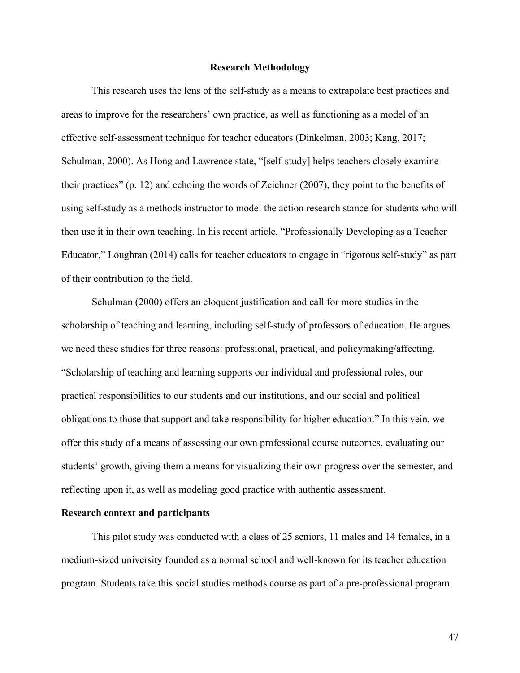### **Research Methodology**

This research uses the lens of the self-study as a means to extrapolate best practices and areas to improve for the researchers' own practice, as well as functioning as a model of an effective self-assessment technique for teacher educators (Dinkelman, 2003; Kang, 2017; Schulman, 2000). As Hong and Lawrence state, "[self-study] helps teachers closely examine their practices" (p. 12) and echoing the words of Zeichner (2007), they point to the benefits of using self-study as a methods instructor to model the action research stance for students who will then use it in their own teaching. In his recent article, "Professionally Developing as a Teacher Educator," Loughran (2014) calls for teacher educators to engage in "rigorous self-study" as part of their contribution to the field.

Schulman (2000) offers an eloquent justification and call for more studies in the scholarship of teaching and learning, including self-study of professors of education. He argues we need these studies for three reasons: professional, practical, and policymaking/affecting. "Scholarship of teaching and learning supports our individual and professional roles, our practical responsibilities to our students and our institutions, and our social and political obligations to those that support and take responsibility for higher education." In this vein, we offer this study of a means of assessing our own professional course outcomes, evaluating our students' growth, giving them a means for visualizing their own progress over the semester, and reflecting upon it, as well as modeling good practice with authentic assessment.

## **Research context and participants**

This pilot study was conducted with a class of 25 seniors, 11 males and 14 females, in a medium-sized university founded as a normal school and well-known for its teacher education program. Students take this social studies methods course as part of a pre-professional program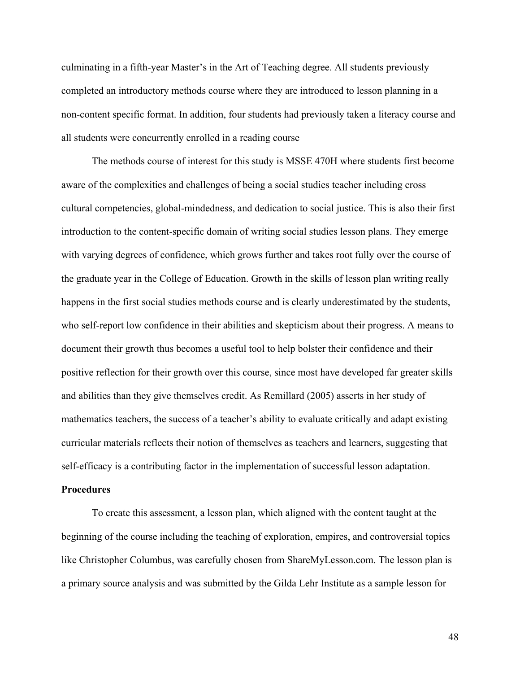culminating in a fifth-year Master's in the Art of Teaching degree. All students previously completed an introductory methods course where they are introduced to lesson planning in a non-content specific format. In addition, four students had previously taken a literacy course and all students were concurrently enrolled in a reading course

The methods course of interest for this study is MSSE 470H where students first become aware of the complexities and challenges of being a social studies teacher including cross cultural competencies, global-mindedness, and dedication to social justice. This is also their first introduction to the content-specific domain of writing social studies lesson plans. They emerge with varying degrees of confidence, which grows further and takes root fully over the course of the graduate year in the College of Education. Growth in the skills of lesson plan writing really happens in the first social studies methods course and is clearly underestimated by the students, who self-report low confidence in their abilities and skepticism about their progress. A means to document their growth thus becomes a useful tool to help bolster their confidence and their positive reflection for their growth over this course, since most have developed far greater skills and abilities than they give themselves credit. As Remillard (2005) asserts in her study of mathematics teachers, the success of a teacher's ability to evaluate critically and adapt existing curricular materials reflects their notion of themselves as teachers and learners, suggesting that self-efficacy is a contributing factor in the implementation of successful lesson adaptation.

#### **Procedures**

To create this assessment, a lesson plan, which aligned with the content taught at the beginning of the course including the teaching of exploration, empires, and controversial topics like Christopher Columbus, was carefully chosen from ShareMyLesson.com. The lesson plan is a primary source analysis and was submitted by the Gilda Lehr Institute as a sample lesson for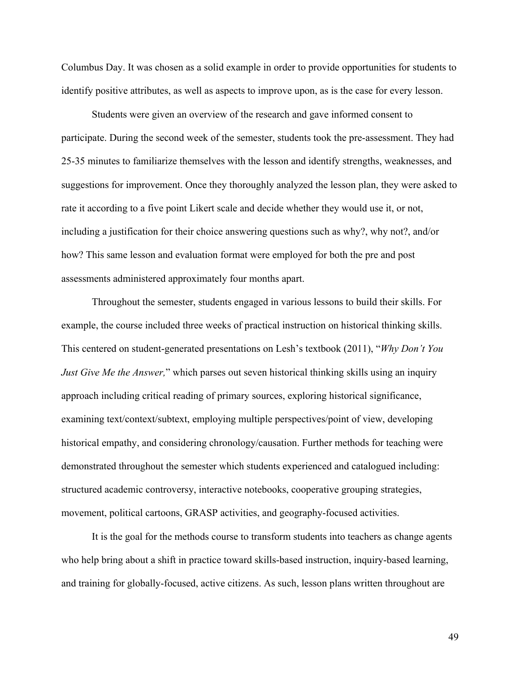Columbus Day. It was chosen as a solid example in order to provide opportunities for students to identify positive attributes, as well as aspects to improve upon, as is the case for every lesson.

Students were given an overview of the research and gave informed consent to participate. During the second week of the semester, students took the pre-assessment. They had 25-35 minutes to familiarize themselves with the lesson and identify strengths, weaknesses, and suggestions for improvement. Once they thoroughly analyzed the lesson plan, they were asked to rate it according to a five point Likert scale and decide whether they would use it, or not, including a justification for their choice answering questions such as why?, why not?, and/or how? This same lesson and evaluation format were employed for both the pre and post assessments administered approximately four months apart.

Throughout the semester, students engaged in various lessons to build their skills. For example, the course included three weeks of practical instruction on historical thinking skills. This centered on student-generated presentations on Lesh's textbook (2011), "*Why Don't You Just Give Me the Answer*," which parses out seven historical thinking skills using an inquiry approach including critical reading of primary sources, exploring historical significance, examining text/context/subtext, employing multiple perspectives/point of view, developing historical empathy, and considering chronology/causation. Further methods for teaching were demonstrated throughout the semester which students experienced and catalogued including: structured academic controversy, interactive notebooks, cooperative grouping strategies, movement, political cartoons, GRASP activities, and geography-focused activities.

It is the goal for the methods course to transform students into teachers as change agents who help bring about a shift in practice toward skills-based instruction, inquiry-based learning, and training for globally-focused, active citizens. As such, lesson plans written throughout are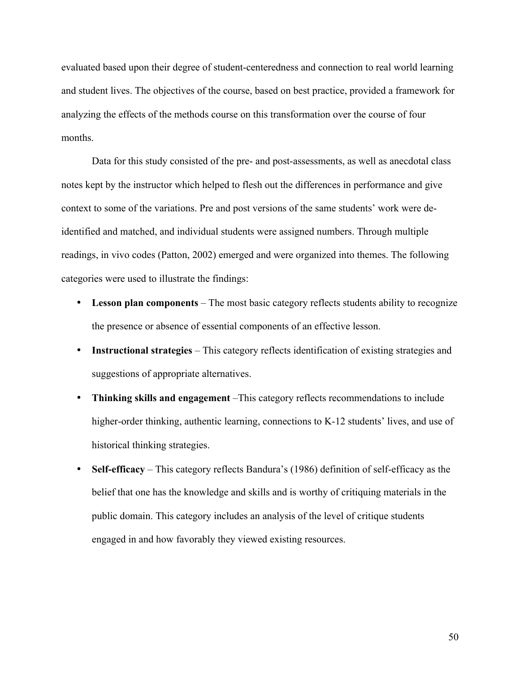evaluated based upon their degree of student-centeredness and connection to real world learning and student lives. The objectives of the course, based on best practice, provided a framework for analyzing the effects of the methods course on this transformation over the course of four months.

Data for this study consisted of the pre- and post-assessments, as well as anecdotal class notes kept by the instructor which helped to flesh out the differences in performance and give context to some of the variations. Pre and post versions of the same students' work were deidentified and matched, and individual students were assigned numbers. Through multiple readings, in vivo codes (Patton, 2002) emerged and were organized into themes. The following categories were used to illustrate the findings:

- Lesson plan components The most basic category reflects students ability to recognize the presence or absence of essential components of an effective lesson.
- **Instructional strategies** This category reflects identification of existing strategies and suggestions of appropriate alternatives.
- **Thinking skills and engagement** –This category reflects recommendations to include higher-order thinking, authentic learning, connections to K-12 students' lives, and use of historical thinking strategies.
- **Self-efficacy** This category reflects Bandura's (1986) definition of self-efficacy as the belief that one has the knowledge and skills and is worthy of critiquing materials in the public domain. This category includes an analysis of the level of critique students engaged in and how favorably they viewed existing resources.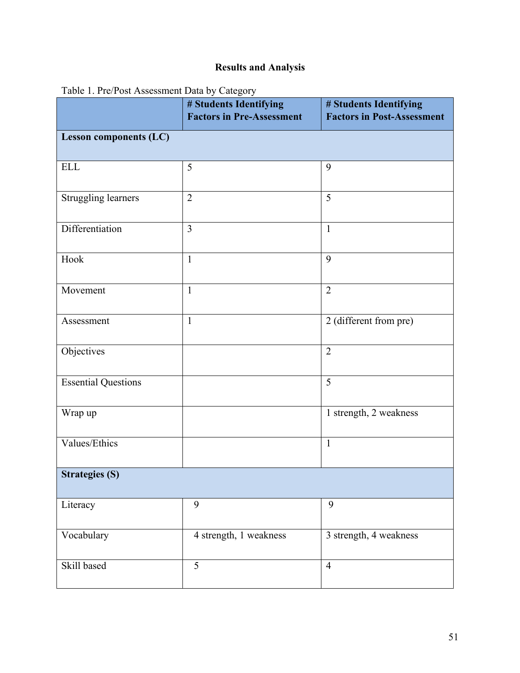# **Results and Analysis**

| 1.11                          | # Students Identifying<br><b>Factors in Pre-Assessment</b> | # Students Identifying<br><b>Factors in Post-Assessment</b> |  |
|-------------------------------|------------------------------------------------------------|-------------------------------------------------------------|--|
| <b>Lesson components (LC)</b> |                                                            |                                                             |  |
| <b>ELL</b>                    | 5                                                          | 9                                                           |  |
| Struggling learners           | $\overline{2}$                                             | 5                                                           |  |
| Differentiation               | 3                                                          | $\mathbf{1}$                                                |  |
| Hook                          | $\mathbf{1}$                                               | 9                                                           |  |
| Movement                      | $\mathbf{1}$                                               | $\overline{2}$                                              |  |
| Assessment                    | $\mathbf{1}$                                               | 2 (different from pre)                                      |  |
| Objectives                    |                                                            | $\overline{2}$                                              |  |
| <b>Essential Questions</b>    |                                                            | 5                                                           |  |
| Wrap up                       |                                                            | 1 strength, 2 weakness                                      |  |
| Values/Ethics                 |                                                            | $\mathbf{1}$                                                |  |
| <b>Strategies (S)</b>         |                                                            |                                                             |  |
| Literacy                      | 9                                                          | 9                                                           |  |
| Vocabulary                    | 4 strength, 1 weakness                                     | 3 strength, 4 weakness                                      |  |
| Skill based                   | $\overline{5}$                                             | $\overline{4}$                                              |  |

Table 1. Pre/Post Assessment Data by Category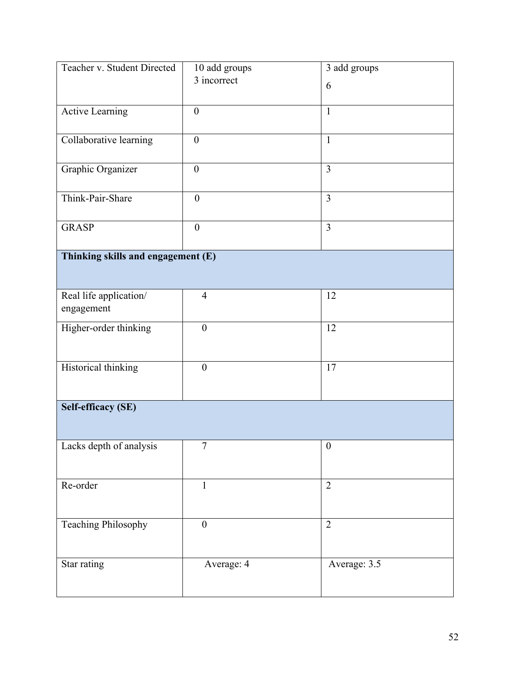| Teacher v. Student Directed        | 10 add groups    | 3 add groups     |  |
|------------------------------------|------------------|------------------|--|
|                                    | 3 incorrect      | 6                |  |
|                                    |                  |                  |  |
| Active Learning                    | $\boldsymbol{0}$ | $\mathbf{1}$     |  |
| Collaborative learning             | $\boldsymbol{0}$ | $\mathbf{1}$     |  |
|                                    |                  |                  |  |
| Graphic Organizer                  | $\boldsymbol{0}$ | 3                |  |
|                                    |                  |                  |  |
| Think-Pair-Share                   | $\boldsymbol{0}$ | $\overline{3}$   |  |
| <b>GRASP</b>                       | $\overline{0}$   | $\overline{3}$   |  |
|                                    |                  |                  |  |
| Thinking skills and engagement (E) |                  |                  |  |
|                                    |                  |                  |  |
| Real life application/             | $\overline{4}$   | 12               |  |
| engagement                         |                  |                  |  |
| Higher-order thinking              | $\boldsymbol{0}$ | 12               |  |
|                                    |                  |                  |  |
| Historical thinking                | $\boldsymbol{0}$ | 17               |  |
|                                    |                  |                  |  |
|                                    |                  |                  |  |
| <b>Self-efficacy (SE)</b>          |                  |                  |  |
|                                    |                  |                  |  |
| Lacks depth of analysis            | $\tau$           | $\boldsymbol{0}$ |  |
|                                    |                  |                  |  |
| Re-order                           | $\mathbf{1}$     | $\overline{2}$   |  |
|                                    |                  |                  |  |
| <b>Teaching Philosophy</b>         | $\boldsymbol{0}$ | $\overline{2}$   |  |
|                                    |                  |                  |  |
|                                    |                  |                  |  |
| Star rating                        | Average: 4       | Average: 3.5     |  |
|                                    |                  |                  |  |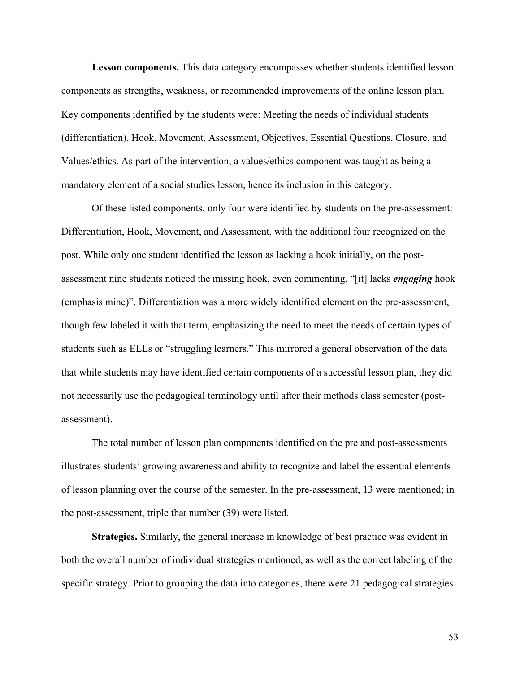**Lesson components.** This data category encompasses whether students identified lesson components as strengths, weakness, or recommended improvements of the online lesson plan. Key components identified by the students were: Meeting the needs of individual students (differentiation), Hook, Movement, Assessment, Objectives, Essential Questions, Closure, and Values/ethics. As part of the intervention, a values/ethics component was taught as being a mandatory element of a social studies lesson, hence its inclusion in this category.

Of these listed components, only four were identified by students on the pre-assessment: Differentiation, Hook, Movement, and Assessment, with the additional four recognized on the post. While only one student identified the lesson as lacking a hook initially, on the postassessment nine students noticed the missing hook, even commenting, "[it] lacks *engaging* hook (emphasis mine)". Differentiation was a more widely identified element on the pre-assessment, though few labeled it with that term, emphasizing the need to meet the needs of certain types of students such as ELLs or "struggling learners." This mirrored a general observation of the data that while students may have identified certain components of a successful lesson plan, they did not necessarily use the pedagogical terminology until after their methods class semester (postassessment).

The total number of lesson plan components identified on the pre and post-assessments illustrates students' growing awareness and ability to recognize and label the essential elements of lesson planning over the course of the semester. In the pre-assessment, 13 were mentioned; in the post-assessment, triple that number (39) were listed.

**Strategies.** Similarly, the general increase in knowledge of best practice was evident in both the overall number of individual strategies mentioned, as well as the correct labeling of the specific strategy. Prior to grouping the data into categories, there were 21 pedagogical strategies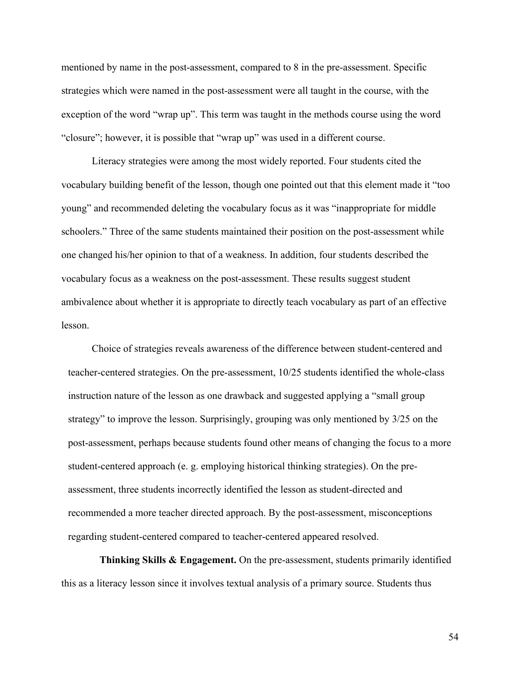mentioned by name in the post-assessment, compared to 8 in the pre-assessment. Specific strategies which were named in the post-assessment were all taught in the course, with the exception of the word "wrap up". This term was taught in the methods course using the word "closure"; however, it is possible that "wrap up" was used in a different course.

Literacy strategies were among the most widely reported. Four students cited the vocabulary building benefit of the lesson, though one pointed out that this element made it "too young" and recommended deleting the vocabulary focus as it was "inappropriate for middle schoolers." Three of the same students maintained their position on the post-assessment while one changed his/her opinion to that of a weakness. In addition, four students described the vocabulary focus as a weakness on the post-assessment. These results suggest student ambivalence about whether it is appropriate to directly teach vocabulary as part of an effective lesson.

Choice of strategies reveals awareness of the difference between student-centered and teacher-centered strategies. On the pre-assessment, 10/25 students identified the whole-class instruction nature of the lesson as one drawback and suggested applying a "small group strategy" to improve the lesson. Surprisingly, grouping was only mentioned by 3/25 on the post-assessment, perhaps because students found other means of changing the focus to a more student-centered approach (e. g. employing historical thinking strategies). On the preassessment, three students incorrectly identified the lesson as student-directed and recommended a more teacher directed approach. By the post-assessment, misconceptions regarding student-centered compared to teacher-centered appeared resolved.

 **Thinking Skills & Engagement.** On the pre-assessment, students primarily identified this as a literacy lesson since it involves textual analysis of a primary source. Students thus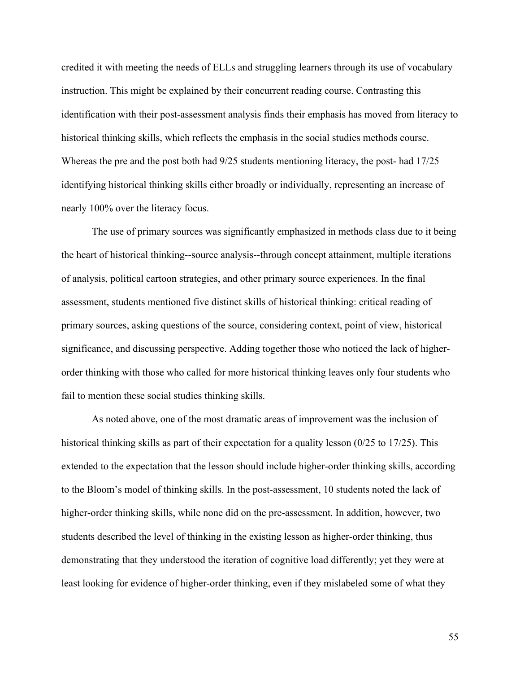credited it with meeting the needs of ELLs and struggling learners through its use of vocabulary instruction. This might be explained by their concurrent reading course. Contrasting this identification with their post-assessment analysis finds their emphasis has moved from literacy to historical thinking skills, which reflects the emphasis in the social studies methods course. Whereas the pre and the post both had 9/25 students mentioning literacy, the post- had 17/25 identifying historical thinking skills either broadly or individually, representing an increase of nearly 100% over the literacy focus.

The use of primary sources was significantly emphasized in methods class due to it being the heart of historical thinking--source analysis--through concept attainment, multiple iterations of analysis, political cartoon strategies, and other primary source experiences. In the final assessment, students mentioned five distinct skills of historical thinking: critical reading of primary sources, asking questions of the source, considering context, point of view, historical significance, and discussing perspective. Adding together those who noticed the lack of higherorder thinking with those who called for more historical thinking leaves only four students who fail to mention these social studies thinking skills.

As noted above, one of the most dramatic areas of improvement was the inclusion of historical thinking skills as part of their expectation for a quality lesson (0/25 to 17/25). This extended to the expectation that the lesson should include higher-order thinking skills, according to the Bloom's model of thinking skills. In the post-assessment, 10 students noted the lack of higher-order thinking skills, while none did on the pre-assessment. In addition, however, two students described the level of thinking in the existing lesson as higher-order thinking, thus demonstrating that they understood the iteration of cognitive load differently; yet they were at least looking for evidence of higher-order thinking, even if they mislabeled some of what they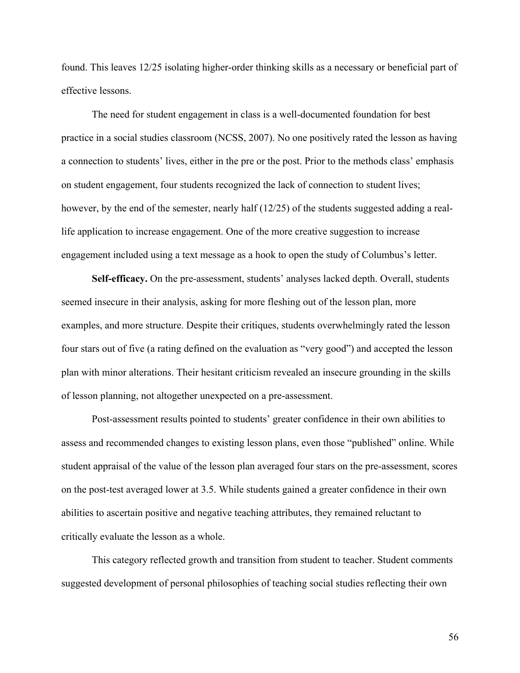found. This leaves 12/25 isolating higher-order thinking skills as a necessary or beneficial part of effective lessons.

The need for student engagement in class is a well-documented foundation for best practice in a social studies classroom (NCSS, 2007). No one positively rated the lesson as having a connection to students' lives, either in the pre or the post. Prior to the methods class' emphasis on student engagement, four students recognized the lack of connection to student lives; however, by the end of the semester, nearly half (12/25) of the students suggested adding a reallife application to increase engagement. One of the more creative suggestion to increase engagement included using a text message as a hook to open the study of Columbus's letter.

**Self-efficacy.** On the pre-assessment, students' analyses lacked depth. Overall, students seemed insecure in their analysis, asking for more fleshing out of the lesson plan, more examples, and more structure. Despite their critiques, students overwhelmingly rated the lesson four stars out of five (a rating defined on the evaluation as "very good") and accepted the lesson plan with minor alterations. Their hesitant criticism revealed an insecure grounding in the skills of lesson planning, not altogether unexpected on a pre-assessment.

Post-assessment results pointed to students' greater confidence in their own abilities to assess and recommended changes to existing lesson plans, even those "published" online. While student appraisal of the value of the lesson plan averaged four stars on the pre-assessment, scores on the post-test averaged lower at 3.5. While students gained a greater confidence in their own abilities to ascertain positive and negative teaching attributes, they remained reluctant to critically evaluate the lesson as a whole.

This category reflected growth and transition from student to teacher. Student comments suggested development of personal philosophies of teaching social studies reflecting their own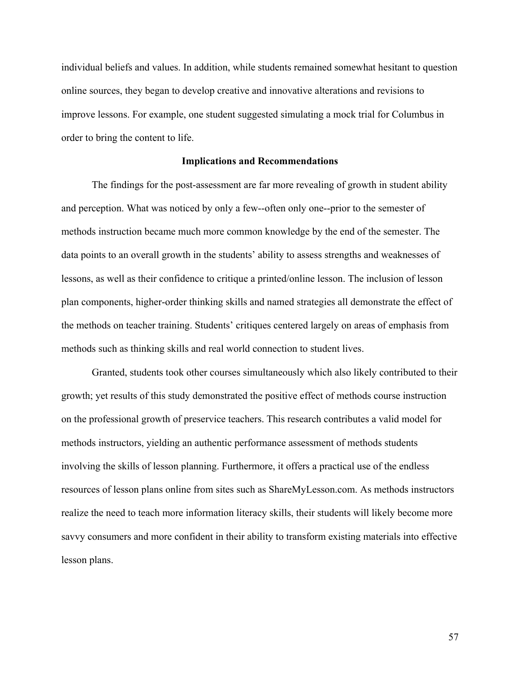individual beliefs and values. In addition, while students remained somewhat hesitant to question online sources, they began to develop creative and innovative alterations and revisions to improve lessons. For example, one student suggested simulating a mock trial for Columbus in order to bring the content to life.

#### **Implications and Recommendations**

The findings for the post-assessment are far more revealing of growth in student ability and perception. What was noticed by only a few--often only one--prior to the semester of methods instruction became much more common knowledge by the end of the semester. The data points to an overall growth in the students' ability to assess strengths and weaknesses of lessons, as well as their confidence to critique a printed/online lesson. The inclusion of lesson plan components, higher-order thinking skills and named strategies all demonstrate the effect of the methods on teacher training. Students' critiques centered largely on areas of emphasis from methods such as thinking skills and real world connection to student lives.

Granted, students took other courses simultaneously which also likely contributed to their growth; yet results of this study demonstrated the positive effect of methods course instruction on the professional growth of preservice teachers. This research contributes a valid model for methods instructors, yielding an authentic performance assessment of methods students involving the skills of lesson planning. Furthermore, it offers a practical use of the endless resources of lesson plans online from sites such as ShareMyLesson.com. As methods instructors realize the need to teach more information literacy skills, their students will likely become more savvy consumers and more confident in their ability to transform existing materials into effective lesson plans.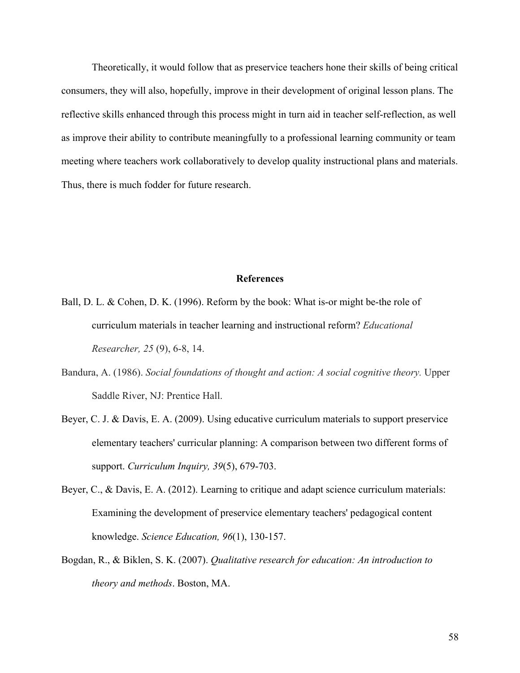Theoretically, it would follow that as preservice teachers hone their skills of being critical consumers, they will also, hopefully, improve in their development of original lesson plans. The reflective skills enhanced through this process might in turn aid in teacher self-reflection, as well as improve their ability to contribute meaningfully to a professional learning community or team meeting where teachers work collaboratively to develop quality instructional plans and materials. Thus, there is much fodder for future research.

## **References**

- Ball, D. L. & Cohen, D. K. (1996). Reform by the book: What is-or might be-the role of curriculum materials in teacher learning and instructional reform? *Educational Researcher, 25* (9), 6-8, 14.
- Bandura, A. (1986). *Social foundations of thought and action: A social cognitive theory.* Upper Saddle River, NJ: Prentice Hall.
- Beyer, C. J. & Davis, E. A. (2009). Using educative curriculum materials to support preservice elementary teachers' curricular planning: A comparison between two different forms of support. *Curriculum Inquiry, 39*(5), 679-703.
- Beyer, C., & Davis, E. A. (2012). Learning to critique and adapt science curriculum materials: Examining the development of preservice elementary teachers' pedagogical content knowledge. *Science Education, 96*(1), 130-157.
- Bogdan, R., & Biklen, S. K. (2007). *Qualitative research for education: An introduction to theory and methods*. Boston, MA.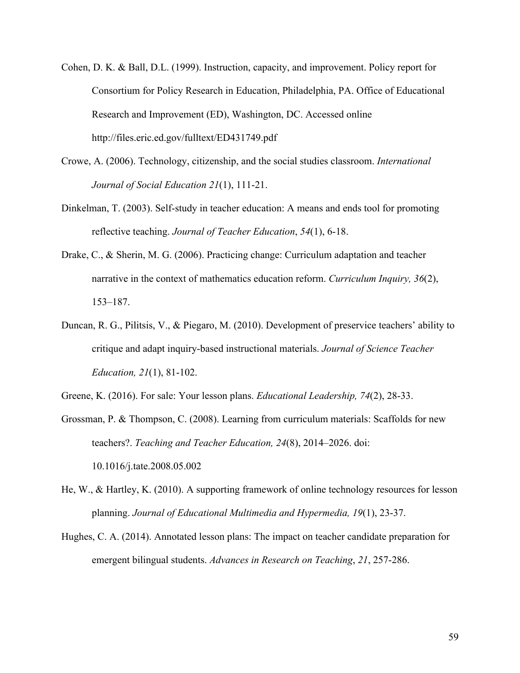- Cohen, D. K. & Ball, D.L. (1999). Instruction, capacity, and improvement. Policy report for Consortium for Policy Research in Education, Philadelphia, PA. Office of Educational Research and Improvement (ED), Washington, DC. Accessed online http://files.eric.ed.gov/fulltext/ED431749.pdf
- Crowe, A. (2006). Technology, citizenship, and the social studies classroom. *International Journal of Social Education 21*(1), 111-21.
- Dinkelman, T. (2003). Self-study in teacher education: A means and ends tool for promoting reflective teaching. *Journal of Teacher Education*, *54*(1), 6-18.
- Drake, C., & Sherin, M. G. (2006). Practicing change: Curriculum adaptation and teacher narrative in the context of mathematics education reform. *Curriculum Inquiry, 36*(2), 153–187.
- Duncan, R. G., Pilitsis, V., & Piegaro, M. (2010). Development of preservice teachers' ability to critique and adapt inquiry-based instructional materials. *Journal of Science Teacher Education, 21*(1), 81-102.
- Greene, K. (2016). For sale: Your lesson plans. *Educational Leadership, 74*(2), 28-33.
- Grossman, P. & Thompson, C. (2008). Learning from curriculum materials: Scaffolds for new teachers?. *Teaching and Teacher Education, 24*(8), 2014–2026. doi: 10.1016/j.tate.2008.05.002
- He, W., & Hartley, K. (2010). A supporting framework of online technology resources for lesson planning. *Journal of Educational Multimedia and Hypermedia, 19*(1), 23-37.
- Hughes, C. A. (2014). Annotated lesson plans: The impact on teacher candidate preparation for emergent bilingual students. *Advances in Research on Teaching*, *21*, 257-286.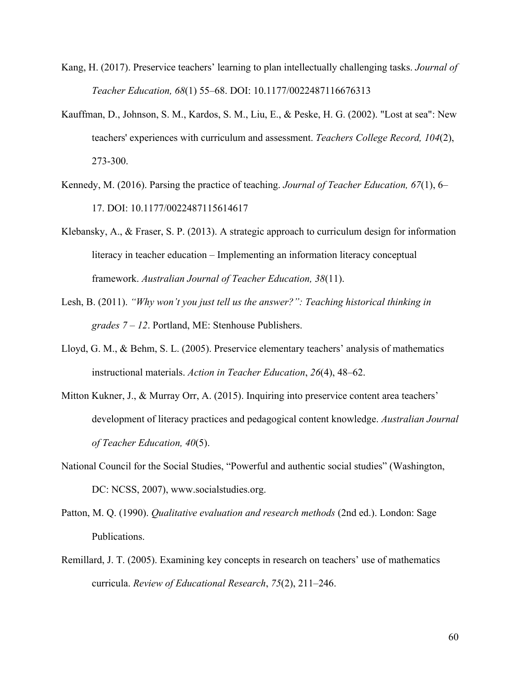- Kang, H. (2017). Preservice teachers' learning to plan intellectually challenging tasks. *Journal of Teacher Education, 68*(1) 55–68. DOI: 10.1177/0022487116676313
- Kauffman, D., Johnson, S. M., Kardos, S. M., Liu, E., & Peske, H. G. (2002). "Lost at sea": New teachers' experiences with curriculum and assessment. *Teachers College Record, 104*(2), 273-300.
- Kennedy, M. (2016). Parsing the practice of teaching. *Journal of Teacher Education, 67*(1), 6– 17. DOI: 10.1177/0022487115614617
- Klebansky, A., & Fraser, S. P. (2013). A strategic approach to curriculum design for information literacy in teacher education – Implementing an information literacy conceptual framework. *Australian Journal of Teacher Education, 38*(11).
- Lesh, B. (2011). *"Why won't you just tell us the answer?": Teaching historical thinking in grades 7 – 12*. Portland, ME: Stenhouse Publishers.
- Lloyd, G. M., & Behm, S. L. (2005). Preservice elementary teachers' analysis of mathematics instructional materials. *Action in Teacher Education*, *26*(4), 48–62.
- Mitton Kukner, J., & Murray Orr, A. (2015). Inquiring into preservice content area teachers' development of literacy practices and pedagogical content knowledge. *Australian Journal of Teacher Education, 40*(5).
- National Council for the Social Studies, "Powerful and authentic social studies" (Washington, DC: NCSS, 2007), www.socialstudies.org.
- Patton, M. Q. (1990). *Qualitative evaluation and research methods* (2nd ed.). London: Sage Publications.
- Remillard, J. T. (2005). Examining key concepts in research on teachers' use of mathematics curricula. *Review of Educational Research*, *75*(2), 211–246.